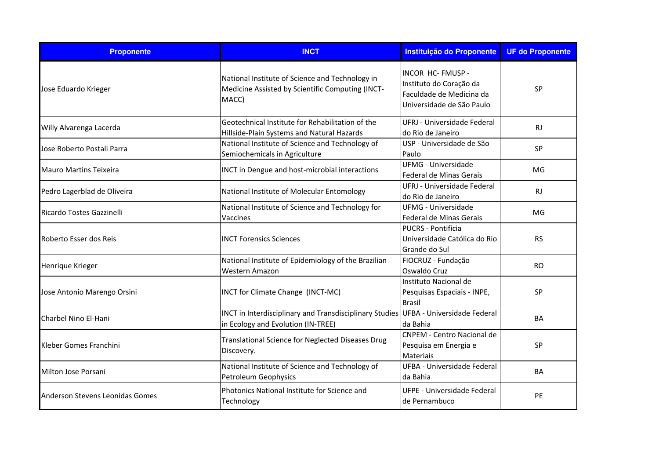| <b>Proponente</b>               | <b>INCT</b>                                                                                                               | Instituição do Proponente                                                                             | <b>UF do Proponente</b> |
|---------------------------------|---------------------------------------------------------------------------------------------------------------------------|-------------------------------------------------------------------------------------------------------|-------------------------|
| Jose Eduardo Krieger            | National Institute of Science and Technology in<br>Medicine Assisted by Scientific Computing (INCT-<br>MACC)              | INCOR HC- FMUSP -<br>Instituto do Coração da<br>Faculdade de Medicina da<br>Universidade de São Paulo | <b>SP</b>               |
| Willy Alvarenga Lacerda         | Geotechnical Institute for Rehabilitation of the<br>Hillside-Plain Systems and Natural Hazards                            | UFRJ - Universidade Federal<br>do Rio de Janeiro                                                      | <b>RJ</b>               |
| Jose Roberto Postali Parra      | National Institute of Science and Technology of<br>Semiochemicals in Agriculture                                          | USP - Universidade de São<br>Paulo                                                                    | SP                      |
| <b>Mauro Martins Teixeira</b>   | <b>INCT</b> in Dengue and host-microbial interactions                                                                     | <b>UFMG - Universidade</b><br>Federal de Minas Gerais                                                 | MG                      |
| Pedro Lagerblad de Oliveira     | National Institute of Molecular Entomology                                                                                | UFRJ - Universidade Federal<br>do Rio de Janeiro                                                      | <b>RJ</b>               |
| Ricardo Tostes Gazzinelli       | National Institute of Science and Technology for<br>Vaccines                                                              | UFMG - Universidade<br>Federal de Minas Gerais                                                        | MG                      |
| Roberto Esser dos Reis          | <b>INCT Forensics Sciences</b>                                                                                            | <b>PUCRS - Pontifícia</b><br>Universidade Católica do Rio<br>Grande do Sul                            | <b>RS</b>               |
| Henrique Krieger                | National Institute of Epidemiology of the Brazilian<br><b>Western Amazon</b>                                              | FIOCRUZ - Fundação<br>Oswaldo Cruz                                                                    | <b>RO</b>               |
| Jose Antonio Marengo Orsini     | INCT for Climate Change (INCT-MC)                                                                                         | Instituto Nacional de<br>Pesquisas Espaciais - INPE,<br><b>Brasil</b>                                 | <b>SP</b>               |
| Charbel Nino El-Hani            | INCT in Interdisciplinary and Transdisciplinary Studies UFBA - Universidade Federal<br>in Ecology and Evolution (IN-TREE) | da Bahia                                                                                              | <b>BA</b>               |
| Kleber Gomes Franchini          | Translational Science for Neglected Diseases Drug<br>Discovery.                                                           | <b>CNPEM - Centro Nacional de</b><br>Pesquisa em Energia e<br><b>Materiais</b>                        | SP                      |
| Milton Jose Porsani             | National Institute of Science and Technology of<br><b>Petroleum Geophysics</b>                                            | UFBA - Universidade Federal<br>da Bahia                                                               | <b>BA</b>               |
| Anderson Stevens Leonidas Gomes | Photonics National Institute for Science and<br>Technology                                                                | UFPE - Universidade Federal<br>de Pernambuco                                                          | PE                      |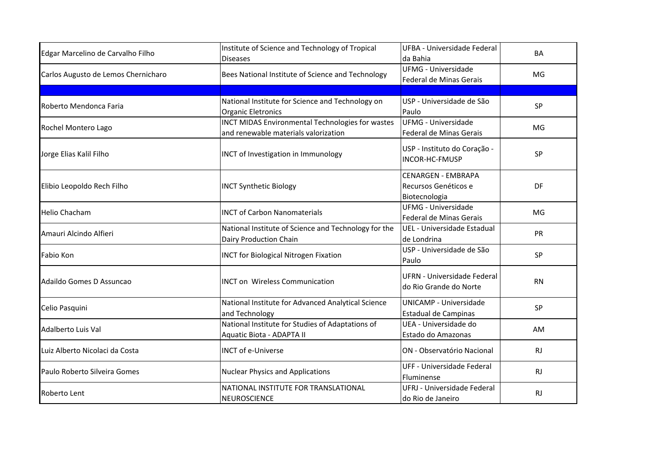| Edgar Marcelino de Carvalho Filho   | Institute of Science and Technology of Tropical<br><b>Diseases</b>                       | UFBA - Universidade Federal<br>da Bahia                            | <b>BA</b> |
|-------------------------------------|------------------------------------------------------------------------------------------|--------------------------------------------------------------------|-----------|
| Carlos Augusto de Lemos Chernicharo | Bees National Institute of Science and Technology                                        | <b>UFMG - Universidade</b><br>Federal de Minas Gerais              | MG        |
|                                     |                                                                                          |                                                                    |           |
| Roberto Mendonca Faria              | National Institute for Science and Technology on<br><b>Organic Eletronics</b>            | USP - Universidade de São<br>Paulo                                 | SP        |
| Rochel Montero Lago                 | INCT MIDAS Environmental Technologies for wastes<br>and renewable materials valorization | <b>UFMG - Universidade</b><br>Federal de Minas Gerais              | MG        |
| Jorge Elias Kalil Filho             | <b>INCT of Investigation in Immunology</b>                                               | USP - Instituto do Coração -<br>INCOR-HC-FMUSP                     | SP        |
| Elibio Leopoldo Rech Filho          | <b>INCT Synthetic Biology</b>                                                            | <b>CENARGEN - EMBRAPA</b><br>Recursos Genéticos e<br>Biotecnologia | DF        |
| <b>Helio Chacham</b>                | <b>INCT of Carbon Nanomaterials</b>                                                      | <b>UFMG - Universidade</b><br>Federal de Minas Gerais              | MG        |
| Amauri Alcindo Alfieri              | National Institute of Science and Technology for the<br>Dairy Production Chain           | UEL - Universidade Estadual<br>de Londrina                         | PR        |
| Fabio Kon                           | <b>INCT for Biological Nitrogen Fixation</b>                                             | USP - Universidade de São<br>Paulo                                 | SP        |
| Adaildo Gomes D Assuncao            | <b>INCT on Wireless Communication</b>                                                    | UFRN - Universidade Federal<br>do Rio Grande do Norte              | <b>RN</b> |
| Celio Pasquini                      | National Institute for Advanced Analytical Science<br>and Technology                     | <b>UNICAMP - Universidade</b><br>Estadual de Campinas              | <b>SP</b> |
| Adalberto Luis Val                  | National Institute for Studies of Adaptations of<br>Aquatic Biota - ADAPTA II            | UEA - Universidade do<br>Estado do Amazonas                        | AM        |
| Luiz Alberto Nicolaci da Costa      | <b>INCT of e-Universe</b>                                                                | ON - Observatório Nacional                                         | RJ        |
| Paulo Roberto Silveira Gomes        | <b>Nuclear Physics and Applications</b>                                                  | UFF - Universidade Federal<br>Fluminense                           | <b>RJ</b> |
| Roberto Lent                        | NATIONAL INSTITUTE FOR TRANSLATIONAL<br><b>NEUROSCIENCE</b>                              | UFRJ - Universidade Federal<br>do Rio de Janeiro                   | RJ        |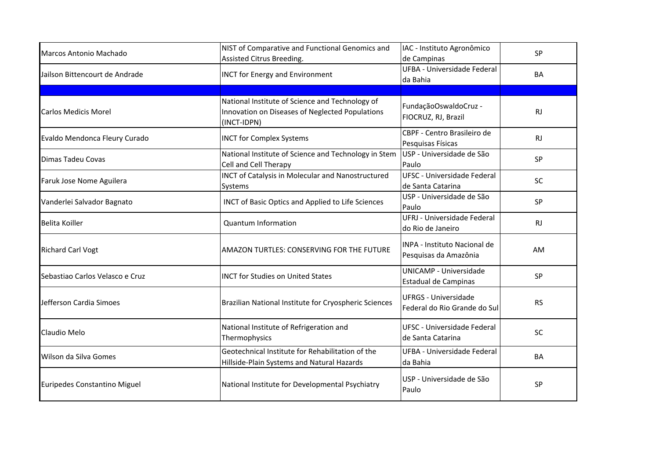| Marcos Antonio Machado          | NIST of Comparative and Functional Genomics and<br>Assisted Citrus Breeding.                                      | IAC - Instituto Agronômico<br>de Campinas                   | SP        |
|---------------------------------|-------------------------------------------------------------------------------------------------------------------|-------------------------------------------------------------|-----------|
| Jailson Bittencourt de Andrade  | <b>INCT for Energy and Environment</b>                                                                            | <b>UFBA - Universidade Federal</b><br>da Bahia              | <b>BA</b> |
|                                 |                                                                                                                   |                                                             |           |
| <b>Carlos Medicis Morel</b>     | National Institute of Science and Technology of<br>Innovation on Diseases of Neglected Populations<br>(INCT-IDPN) | FundaçãoOswaldoCruz -<br>FIOCRUZ, RJ, Brazil                | <b>RJ</b> |
| Evaldo Mendonca Fleury Curado   | <b>INCT for Complex Systems</b>                                                                                   | CBPF - Centro Brasileiro de<br>Pesquisas Físicas            | RJ        |
| <b>Dimas Tadeu Covas</b>        | National Institute of Science and Technology in Stem<br>Cell and Cell Therapy                                     | USP - Universidade de São<br>Paulo                          | SP        |
| Faruk Jose Nome Aguilera        | <b>INCT of Catalysis in Molecular and Nanostructured</b><br>Systems                                               | <b>UFSC - Universidade Federal</b><br>de Santa Catarina     | SC        |
| Vanderlei Salvador Bagnato      | INCT of Basic Optics and Applied to Life Sciences                                                                 | USP - Universidade de São<br>Paulo                          | <b>SP</b> |
| <b>Belita Koiller</b>           | <b>Quantum Information</b>                                                                                        | UFRJ - Universidade Federal<br>do Rio de Janeiro            | <b>RJ</b> |
| <b>Richard Carl Vogt</b>        | AMAZON TURTLES: CONSERVING FOR THE FUTURE                                                                         | INPA - Instituto Nacional de<br>Pesquisas da Amazônia       | AM        |
| Sebastiao Carlos Velasco e Cruz | <b>INCT for Studies on United States</b>                                                                          | UNICAMP - Universidade<br>Estadual de Campinas              | SP        |
| Jefferson Cardia Simoes         | Brazilian National Institute for Cryospheric Sciences                                                             | <b>UFRGS - Universidade</b><br>Federal do Rio Grande do Sul | <b>RS</b> |
| Claudio Melo                    | National Institute of Refrigeration and<br>Thermophysics                                                          | UFSC - Universidade Federal<br>de Santa Catarina            | SC        |
| Wilson da Silva Gomes           | Geotechnical Institute for Rehabilitation of the<br>Hillside-Plain Systems and Natural Hazards                    | UFBA - Universidade Federal<br>da Bahia                     | BA        |
| Euripedes Constantino Miguel    | National Institute for Developmental Psychiatry                                                                   | USP - Universidade de São<br>Paulo                          | SP        |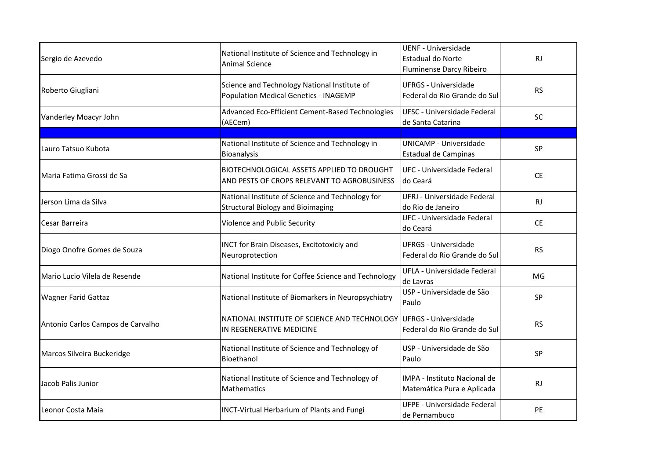| Sergio de Azevedo                 | National Institute of Science and Technology in<br><b>Animal Science</b>                     | <b>UENF - Universidade</b><br>Estadual do Norte<br>Fluminense Darcy Ribeiro | <b>RJ</b> |
|-----------------------------------|----------------------------------------------------------------------------------------------|-----------------------------------------------------------------------------|-----------|
| Roberto Giugliani                 | Science and Technology National Institute of<br>Population Medical Genetics - INAGEMP        | <b>UFRGS - Universidade</b><br>Federal do Rio Grande do Sul                 | <b>RS</b> |
| Vanderley Moacyr John             | Advanced Eco-Efficient Cement-Based Technologies<br>(AECem)                                  | <b>UFSC - Universidade Federal</b><br>de Santa Catarina                     | SC        |
|                                   |                                                                                              |                                                                             |           |
| Lauro Tatsuo Kubota               | National Institute of Science and Technology in<br>Bioanalysis                               | <b>UNICAMP - Universidade</b><br>Estadual de Campinas                       | SP        |
| Maria Fatima Grossi de Sa         | BIOTECHNOLOGICAL ASSETS APPLIED TO DROUGHT<br>AND PESTS OF CROPS RELEVANT TO AGROBUSINESS    | UFC - Universidade Federal<br>do Ceará                                      | <b>CE</b> |
| Jerson Lima da Silva              | National Institute of Science and Technology for<br><b>Structural Biology and Bioimaging</b> | UFRJ - Universidade Federal<br>do Rio de Janeiro                            | <b>RJ</b> |
| Cesar Barreira                    | Violence and Public Security                                                                 | UFC - Universidade Federal<br>do Ceará                                      | <b>CE</b> |
| Diogo Onofre Gomes de Souza       | INCT for Brain Diseases, Excitotoxiciy and<br>Neuroprotection                                | <b>UFRGS - Universidade</b><br>Federal do Rio Grande do Sul                 | <b>RS</b> |
| Mario Lucio Vilela de Resende     | National Institute for Coffee Science and Technology                                         | <b>UFLA - Universidade Federal</b><br>de Lavras                             | MG        |
| <b>Wagner Farid Gattaz</b>        | National Institute of Biomarkers in Neuropsychiatry                                          | USP - Universidade de São<br>Paulo                                          | <b>SP</b> |
| Antonio Carlos Campos de Carvalho | NATIONAL INSTITUTE OF SCIENCE AND TECHNOLOGY<br>IN REGENERATIVE MEDICINE                     | <b>IUFRGS - Universidade</b><br>Federal do Rio Grande do Sul                | <b>RS</b> |
| Marcos Silveira Buckeridge        | National Institute of Science and Technology of<br>Bioethanol                                | USP - Universidade de São<br>Paulo                                          | SP        |
| Jacob Palis Junior                | National Institute of Science and Technology of<br><b>Mathematics</b>                        | IMPA - Instituto Nacional de<br>Matemática Pura e Aplicada                  | RJ        |
| Leonor Costa Maia                 | <b>INCT-Virtual Herbarium of Plants and Fungi</b>                                            | <b>UFPE - Universidade Federal</b><br>de Pernambuco                         | PE        |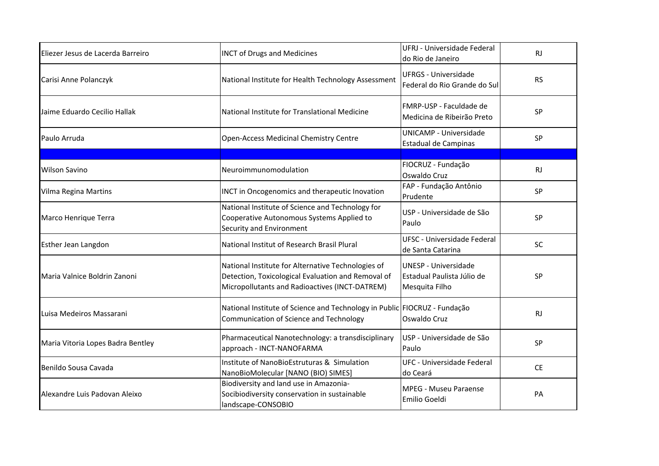| Eliezer Jesus de Lacerda Barreiro | <b>INCT of Drugs and Medicines</b>                                                                                                                         | UFRJ - Universidade Federal<br>do Rio de Janeiro                            | <b>RJ</b> |
|-----------------------------------|------------------------------------------------------------------------------------------------------------------------------------------------------------|-----------------------------------------------------------------------------|-----------|
| Carisi Anne Polanczyk             | National Institute for Health Technology Assessment                                                                                                        | <b>UFRGS - Universidade</b><br>Federal do Rio Grande do Sul                 | <b>RS</b> |
| Jaime Eduardo Cecilio Hallak      | National Institute for Translational Medicine                                                                                                              | FMRP-USP - Faculdade de<br>Medicina de Ribeirão Preto                       | SP        |
| Paulo Arruda                      | Open-Access Medicinal Chemistry Centre                                                                                                                     | <b>UNICAMP - Universidade</b><br>Estadual de Campinas                       | SP        |
| <b>Wilson Savino</b>              | Neuroimmunomodulation                                                                                                                                      | FIOCRUZ - Fundação<br>Oswaldo Cruz                                          | <b>RJ</b> |
| Vilma Regina Martins              | <b>INCT in Oncogenomics and therapeutic Inovation</b>                                                                                                      | FAP - Fundação Antônio<br>Prudente                                          | SP        |
| Marco Henrique Terra              | National Institute of Science and Technology for<br>Cooperative Autonomous Systems Applied to<br>Security and Environment                                  | USP - Universidade de São<br>Paulo                                          | <b>SP</b> |
| <b>Esther Jean Langdon</b>        | National Institut of Research Brasil Plural                                                                                                                | <b>UFSC - Universidade Federal</b><br>de Santa Catarina                     | SC        |
| Maria Valnice Boldrin Zanoni      | National Institute for Alternative Technologies of<br>Detection, Toxicological Evaluation and Removal of<br>Micropollutants and Radioactives (INCT-DATREM) | <b>UNESP - Universidade</b><br>Estadual Paulista Júlio de<br>Mesquita Filho | SP        |
| Luisa Medeiros Massarani          | National Institute of Science and Technology in Public FIOCRUZ - Fundação<br>Communication of Science and Technology                                       | Oswaldo Cruz                                                                | <b>RJ</b> |
| Maria Vitoria Lopes Badra Bentley | Pharmaceutical Nanotechnology: a transdisciplinary<br>approach - INCT-NANOFARMA                                                                            | USP - Universidade de São<br>Paulo                                          | SP        |
| Benildo Sousa Cavada              | Institute of NanoBioEstruturas & Simulation<br>NanoBioMolecular [NANO (BIO) SIMES]                                                                         | <b>UFC - Universidade Federal</b><br>do Ceará                               | <b>CE</b> |
| Alexandre Luis Padovan Aleixo     | Biodiversity and land use in Amazonia-<br>Socibiodiversity conservation in sustainable<br>landscape-CONSOBIO                                               | <b>MPEG - Museu Paraense</b><br>Emilio Goeldi                               | PA        |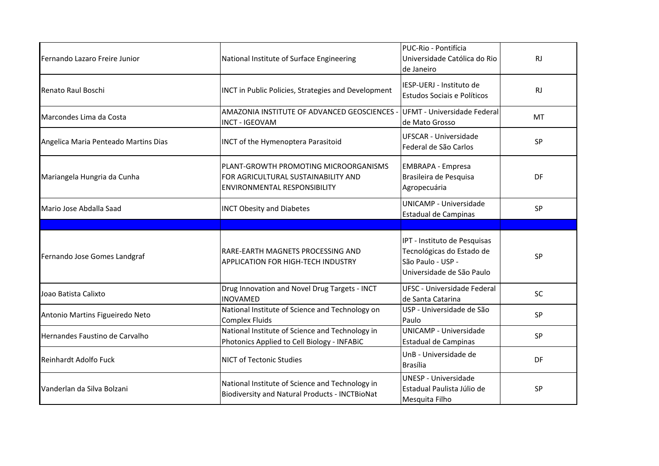| Fernando Lazaro Freire Junior        | National Institute of Surface Engineering                                                                           | PUC-Rio - Pontifícia<br>Universidade Católica do Rio<br>de Janeiro                                          | <b>RJ</b> |
|--------------------------------------|---------------------------------------------------------------------------------------------------------------------|-------------------------------------------------------------------------------------------------------------|-----------|
| Renato Raul Boschi                   | <b>INCT in Public Policies, Strategies and Development</b>                                                          | IESP-UERJ - Instituto de<br><b>Estudos Sociais e Políticos</b>                                              | <b>RJ</b> |
| Marcondes Lima da Costa              | AMAZONIA INSTITUTE OF ADVANCED GEOSCIENCES -<br><b>INCT - IGEOVAM</b>                                               | UFMT - Universidade Federal<br>lde Mato Grosso                                                              | MT        |
| Angelica Maria Penteado Martins Dias | <b>INCT</b> of the Hymenoptera Parasitoid                                                                           | UFSCAR - Universidade<br>Federal de São Carlos                                                              | SP        |
| Mariangela Hungria da Cunha          | PLANT-GROWTH PROMOTING MICROORGANISMS<br>FOR AGRICULTURAL SUSTAINABILITY AND<br><b>ENVIRONMENTAL RESPONSIBILITY</b> | <b>EMBRAPA - Empresa</b><br>Brasileira de Pesquisa<br>Agropecuária                                          | DF        |
| Mario Jose Abdalla Saad              | <b>INCT Obesity and Diabetes</b>                                                                                    | <b>UNICAMP - Universidade</b><br><b>Estadual de Campinas</b>                                                | SP        |
|                                      |                                                                                                                     |                                                                                                             |           |
|                                      |                                                                                                                     |                                                                                                             |           |
| Fernando Jose Gomes Landgraf         | RARE-EARTH MAGNETS PROCESSING AND<br>APPLICATION FOR HIGH-TECH INDUSTRY                                             | IPT - Instituto de Pesquisas<br>Tecnológicas do Estado de<br>São Paulo - USP -<br>Universidade de São Paulo | <b>SP</b> |
| Joao Batista Calixto                 | Drug Innovation and Novel Drug Targets - INCT<br><b>INOVAMED</b>                                                    | UFSC - Universidade Federal<br>de Santa Catarina                                                            | SC        |
| Antonio Martins Figueiredo Neto      | National Institute of Science and Technology on<br><b>Complex Fluids</b>                                            | USP - Universidade de São<br>Paulo                                                                          | SP        |
| Hernandes Faustino de Carvalho       | National Institute of Science and Technology in<br>Photonics Applied to Cell Biology - INFABiC                      | UNICAMP - Universidade<br><b>Estadual de Campinas</b>                                                       | <b>SP</b> |
| Reinhardt Adolfo Fuck                | <b>NICT of Tectonic Studies</b>                                                                                     | UnB - Universidade de<br><b>Brasília</b>                                                                    | DF        |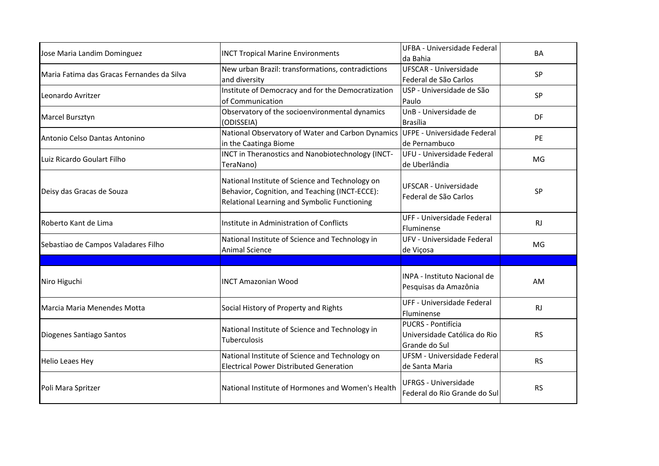| Jose Maria Landim Dominguez                | <b>INCT Tropical Marine Environments</b>                                                                                                          | UFBA - Universidade Federal<br>da Bahia                             | <b>BA</b> |
|--------------------------------------------|---------------------------------------------------------------------------------------------------------------------------------------------------|---------------------------------------------------------------------|-----------|
| Maria Fatima das Gracas Fernandes da Silva | New urban Brazil: transformations, contradictions<br>and diversity                                                                                | <b>UFSCAR - Universidade</b><br>Federal de São Carlos               | SP        |
| Leonardo Avritzer                          | Institute of Democracy and for the Democratization<br>of Communication                                                                            | USP - Universidade de São<br>Paulo                                  | <b>SP</b> |
| Marcel Bursztyn                            | Observatory of the socioenvironmental dynamics<br>(ODISSEIA)                                                                                      | UnB - Universidade de<br><b>Brasília</b>                            | DF        |
| Antonio Celso Dantas Antonino              | National Observatory of Water and Carbon Dynamics<br>in the Caatinga Biome                                                                        | UFPE - Universidade Federal<br>de Pernambuco                        | PE        |
| Luiz Ricardo Goulart Filho                 | INCT in Theranostics and Nanobiotechnology (INCT-<br>TeraNano)                                                                                    | UFU - Universidade Federal<br>de Uberlândia                         | MG        |
| Deisy das Gracas de Souza                  | National Institute of Science and Technology on<br>Behavior, Cognition, and Teaching (INCT-ECCE):<br>Relational Learning and Symbolic Functioning | <b>UFSCAR - Universidade</b><br>Federal de São Carlos               | SP        |
| Roberto Kant de Lima                       | Institute in Administration of Conflicts                                                                                                          | UFF - Universidade Federal<br>Fluminense                            | RJ        |
| Sebastiao de Campos Valadares Filho        | National Institute of Science and Technology in<br><b>Animal Science</b>                                                                          | UFV - Universidade Federal<br>de Viçosa                             | MG        |
|                                            |                                                                                                                                                   |                                                                     |           |
| Niro Higuchi                               | <b>INCT Amazonian Wood</b>                                                                                                                        | INPA - Instituto Nacional de<br>Pesquisas da Amazônia               | AM        |
| Marcia Maria Menendes Motta                | Social History of Property and Rights                                                                                                             | UFF - Universidade Federal<br>Fluminense                            | <b>RJ</b> |
| Diogenes Santiago Santos                   | National Institute of Science and Technology in<br><b>Tuberculosis</b>                                                                            | PUCRS - Pontifícia<br>Universidade Católica do Rio<br>Grande do Sul | <b>RS</b> |
| <b>Helio Leaes Hey</b>                     | National Institute of Science and Technology on<br><b>Electrical Power Distributed Generation</b>                                                 | UFSM - Universidade Federal<br>de Santa Maria                       | <b>RS</b> |
| Poli Mara Spritzer                         | National Institute of Hormones and Women's Health                                                                                                 | <b>UFRGS - Universidade</b><br>Federal do Rio Grande do Sul         | <b>RS</b> |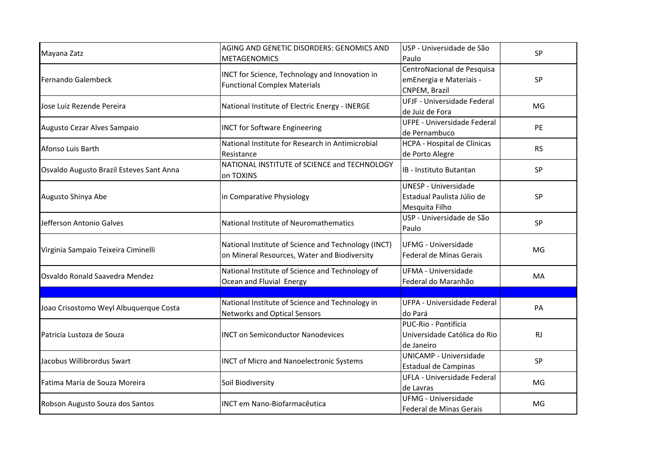| Mayana Zatz                              | AGING AND GENETIC DISORDERS: GENOMICS AND<br><b>METAGENOMICS</b>                                    | USP - Universidade de São<br>Paulo                                          | <b>SP</b> |
|------------------------------------------|-----------------------------------------------------------------------------------------------------|-----------------------------------------------------------------------------|-----------|
| <b>Fernando Galembeck</b>                | INCT for Science, Technology and Innovation in<br><b>Functional Complex Materials</b>               | CentroNacional de Pesquisa<br>emEnergia e Materiais -<br>CNPEM, Brazil      | <b>SP</b> |
| Jose Luiz Rezende Pereira                | National Institute of Electric Energy - INERGE                                                      | UFJF - Universidade Federal<br>de Juiz de Fora                              | MG        |
| Augusto Cezar Alves Sampaio              | <b>INCT for Software Engineering</b>                                                                | <b>UFPE - Universidade Federal</b><br>de Pernambuco                         | PE        |
| Afonso Luis Barth                        | National Institute for Research in Antimicrobial<br>Resistance                                      | HCPA - Hospital de Clínicas<br>de Porto Alegre                              | <b>RS</b> |
| Osvaldo Augusto Brazil Esteves Sant Anna | NATIONAL INSTITUTE of SCIENCE and TECHNOLOGY<br>on TOXINS                                           | IB - Instituto Butantan                                                     | SP        |
| Augusto Shinya Abe                       | in Comparative Physiology                                                                           | <b>UNESP - Universidade</b><br>Estadual Paulista Júlio de<br>Mesquita Filho | <b>SP</b> |
| Jefferson Antonio Galves                 | National Institute of Neuromathematics                                                              | USP - Universidade de São<br>Paulo                                          | SP        |
| Virginia Sampaio Teixeira Ciminelli      | National Institute of Science and Technology (INCT)<br>on Mineral Resources, Water and Biodiversity | <b>UFMG - Universidade</b><br>Federal de Minas Gerais                       | MG        |
| Osvaldo Ronald Saavedra Mendez           | National Institute of Science and Technology of<br>Ocean and Fluvial Energy                         | <b>UFMA - Universidade</b><br>Federal do Maranhão                           | MA        |
|                                          |                                                                                                     |                                                                             |           |
| Joao Crisostomo Weyl Albuquerque Costa   | National Institute of Science and Technology in<br><b>Networks and Optical Sensors</b>              | UFPA - Universidade Federal<br>do Pará                                      | PA        |
| Patricia Lustoza de Souza                | <b>INCT on Semiconductor Nanodevices</b>                                                            | PUC-Rio - Pontifícia<br>Universidade Católica do Rio<br>de Janeiro          | <b>RJ</b> |
| Jacobus Willibrordus Swart               | <b>INCT of Micro and Nanoelectronic Systems</b>                                                     | <b>UNICAMP - Universidade</b><br>Estadual de Campinas                       | SP        |
| Fatima Maria de Souza Moreira            | Soil Biodiversity                                                                                   | UFLA - Universidade Federal<br>de Lavras                                    | MG        |
| Robson Augusto Souza dos Santos          | <b>INCT em Nano-Biofarmacêutica</b>                                                                 | <b>UFMG - Universidade</b><br>Federal de Minas Gerais                       | MG        |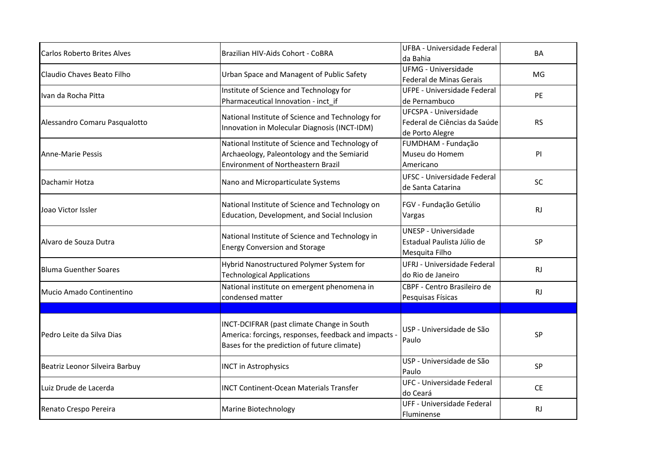| <b>Carlos Roberto Brites Alves</b> | Brazilian HIV-Aids Cohort - CoBRA                                                                                                                 | UFBA - Universidade Federal<br>da Bahia                                     | BA        |
|------------------------------------|---------------------------------------------------------------------------------------------------------------------------------------------------|-----------------------------------------------------------------------------|-----------|
| Claudio Chaves Beato Filho         | Urban Space and Managent of Public Safety                                                                                                         | <b>UFMG - Universidade</b><br>Federal de Minas Gerais                       | MG        |
| Ivan da Rocha Pitta                | Institute of Science and Technology for<br>Pharmaceutical Innovation - inct if                                                                    | UFPE - Universidade Federal<br>de Pernambuco                                | PE        |
| Alessandro Comaru Pasqualotto      | National Institute of Science and Technology for<br>Innovation in Molecular Diagnosis (INCT-IDM)                                                  | UFCSPA - Universidade<br>Federal de Ciências da Saúde<br>de Porto Alegre    | <b>RS</b> |
| Anne-Marie Pessis                  | National Institute of Science and Technology of<br>Archaeology, Paleontology and the Semiarid<br><b>Environment of Northeastern Brazil</b>        | FUMDHAM - Fundação<br>Museu do Homem<br>Americano                           | PI        |
| Dachamir Hotza                     | Nano and Microparticulate Systems                                                                                                                 | <b>UFSC - Universidade Federal</b><br>de Santa Catarina                     | SC        |
| Joao Victor Issler                 | National Institute of Science and Technology on<br>Education, Development, and Social Inclusion                                                   | FGV - Fundação Getúlio<br>Vargas                                            | RJ        |
| Alvaro de Souza Dutra              | National Institute of Science and Technology in<br><b>Energy Conversion and Storage</b>                                                           | <b>UNESP - Universidade</b><br>Estadual Paulista Júlio de<br>Mesquita Filho | SP        |
| <b>Bluma Guenther Soares</b>       | Hybrid Nanostructured Polymer System for<br><b>Technological Applications</b>                                                                     | UFRJ - Universidade Federal<br>do Rio de Janeiro                            | <b>RJ</b> |
| Mucio Amado Continentino           | National institute on emergent phenomena in<br>condensed matter                                                                                   | CBPF - Centro Brasileiro de<br>Pesquisas Físicas                            | RJ        |
|                                    |                                                                                                                                                   |                                                                             |           |
| Pedro Leite da Silva Dias          | INCT-DCIFRAR (past climate Change in South<br>America: forcings, responses, feedback and impacts -<br>Bases for the prediction of future climate) | USP - Universidade de São<br>Paulo                                          | <b>SP</b> |
| Beatriz Leonor Silveira Barbuy     | <b>INCT in Astrophysics</b>                                                                                                                       | USP - Universidade de São<br>Paulo                                          | SP        |
| Luiz Drude de Lacerda              | <b>INCT Continent-Ocean Materials Transfer</b>                                                                                                    | UFC - Universidade Federal<br>do Ceará                                      | <b>CE</b> |
| Renato Crespo Pereira              | Marine Biotechnology                                                                                                                              | UFF - Universidade Federal<br>Fluminense                                    | <b>RJ</b> |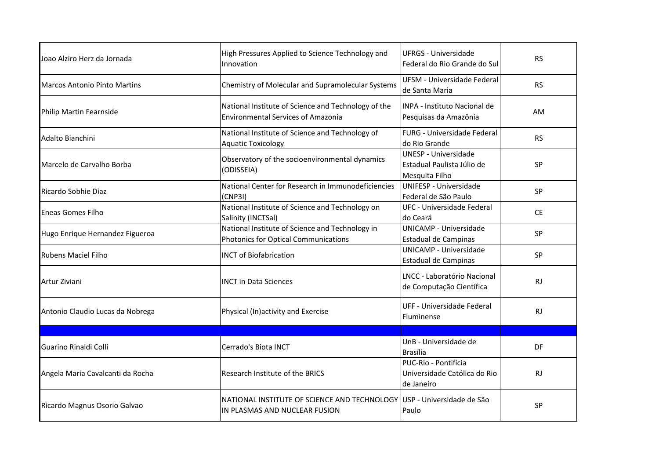| Joao Alziro Herz da Jornada         | High Pressures Applied to Science Technology and<br>Innovation                                          | <b>UFRGS - Universidade</b><br>Federal do Rio Grande do Sul                 | <b>RS</b> |
|-------------------------------------|---------------------------------------------------------------------------------------------------------|-----------------------------------------------------------------------------|-----------|
| <b>Marcos Antonio Pinto Martins</b> | Chemistry of Molecular and Supramolecular Systems                                                       | <b>UFSM - Universidade Federal</b><br>de Santa Maria                        | <b>RS</b> |
| Philip Martin Fearnside             | National Institute of Science and Technology of the<br><b>Environmental Services of Amazonia</b>        | INPA - Instituto Nacional de<br>Pesquisas da Amazônia                       | AM.       |
| Adalto Bianchini                    | National Institute of Science and Technology of<br><b>Aquatic Toxicology</b>                            | FURG - Universidade Federal<br>ldo Rio Grande                               | <b>RS</b> |
| Marcelo de Carvalho Borba           | Observatory of the socioenvironmental dynamics<br>(ODISSEIA)                                            | <b>UNESP - Universidade</b><br>Estadual Paulista Júlio de<br>Mesquita Filho | SP        |
| Ricardo Sobhie Diaz                 | National Center for Research in Immunodeficiencies<br>(CNP3I)                                           | UNIFESP - Universidade<br>Federal de São Paulo                              | SP        |
| <b>Eneas Gomes Filho</b>            | National Institute of Science and Technology on<br>Salinity (INCTSal)                                   | UFC - Universidade Federal<br>do Ceará                                      | <b>CE</b> |
| Hugo Enrique Hernandez Figueroa     | National Institute of Science and Technology in<br>Photonics for Optical Communications                 | <b>UNICAMP - Universidade</b><br><b>Estadual de Campinas</b>                | <b>SP</b> |
| <b>Rubens Maciel Filho</b>          | <b>INCT of Biofabrication</b>                                                                           | <b>UNICAMP - Universidade</b><br>Estadual de Campinas                       | <b>SP</b> |
| Artur Ziviani                       | <b>INCT in Data Sciences</b>                                                                            | LNCC - Laboratório Nacional<br>de Computação Científica                     | RJ.       |
| Antonio Claudio Lucas da Nobrega    | Physical (In)activity and Exercise                                                                      | UFF - Universidade Federal<br>Fluminense                                    | <b>RJ</b> |
|                                     |                                                                                                         |                                                                             |           |
| Guarino Rinaldi Colli               | Cerrado's Biota INCT                                                                                    | UnB - Universidade de<br><b>Brasília</b>                                    | DF        |
| Angela Maria Cavalcanti da Rocha    | <b>Research Institute of the BRICS</b>                                                                  | PUC-Rio - Pontifícia<br>Universidade Católica do Rio<br>de Janeiro          | <b>RJ</b> |
| Ricardo Magnus Osorio Galvao        | NATIONAL INSTITUTE OF SCIENCE AND TECHNOLOGY USP - Universidade de São<br>IN PLASMAS AND NUCLEAR FUSION | Paulo                                                                       | <b>SP</b> |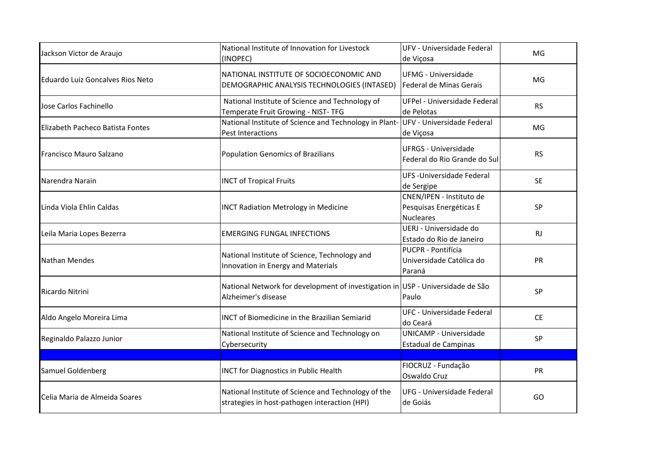| Jackson Victor de Araujo         | National Institute of Innovation for Livestock<br>(INOPEC)                                             | UFV - Universidade Federal<br>de Viçosa                                 | MG        |
|----------------------------------|--------------------------------------------------------------------------------------------------------|-------------------------------------------------------------------------|-----------|
| Eduardo Luiz Goncalves Rios Neto | NATIONAL INSTITUTE OF SOCIOECONOMIC AND<br>DEMOGRAPHIC ANALYSIS TECHNOLOGIES (INTASED)                 | <b>UFMG - Universidade</b><br>Federal de Minas Gerais                   | MG        |
| Jose Carlos Fachinello           | National Institute of Science and Technology of<br>Temperate Fruit Growing - NIST-TFG                  | UFPel - Universidade Federal<br>de Pelotas                              | <b>RS</b> |
| Elizabeth Pacheco Batista Fontes | National Institute of Science and Technology in Plant- UFV - Universidade Federal<br>Pest Interactions | de Viçosa                                                               | MG        |
| Francisco Mauro Salzano          | Population Genomics of Brazilians                                                                      | <b>UFRGS - Universidade</b><br>Federal do Rio Grande do Sul             | <b>RS</b> |
| Narendra Narain                  | <b>INCT of Tropical Fruits</b>                                                                         | UFS-Universidade Federal<br>de Sergipe                                  | <b>SE</b> |
| Linda Viola Ehlin Caldas         | <b>INCT Radiation Metrology in Medicine</b>                                                            | CNEN/IPEN - Instituto de<br>Pesquisas Energéticas E<br><b>Nucleares</b> | SP        |
| Leila Maria Lopes Bezerra        | <b>EMERGING FUNGAL INFECTIONS</b>                                                                      | UERJ - Universidade do<br>Estado do Rio de Janeiro                      | RJ        |
| <b>Nathan Mendes</b>             | National Institute of Science, Technology and<br>Innovation in Energy and Materials                    | PUCPR - Pontifícia<br>Universidade Católica do<br>Paraná                | PR        |
| Ricardo Nitrini                  | National Network for development of investigation in USP - Universidade de São<br>Alzheimer's disease  | Paulo                                                                   | <b>SP</b> |
| Aldo Angelo Moreira Lima         | <b>INCT of Biomedicine in the Brazilian Semiarid</b>                                                   | <b>UFC - Universidade Federal</b><br>do Ceará                           | <b>CE</b> |
| Reginaldo Palazzo Junior         | National Institute of Science and Technology on<br>Cybersecurity                                       | <b>UNICAMP - Universidade</b><br>Estadual de Campinas                   | <b>SP</b> |
|                                  |                                                                                                        |                                                                         |           |
| Samuel Goldenberg                | <b>INCT for Diagnostics in Public Health</b>                                                           | FIOCRUZ - Fundação<br>Oswaldo Cruz                                      | PR        |
| Celia Maria de Almeida Soares    | National Institute of Science and Technology of the<br>strategies in host-pathogen interaction (HPI)   | UFG - Universidade Federal<br>de Goiás                                  | GO        |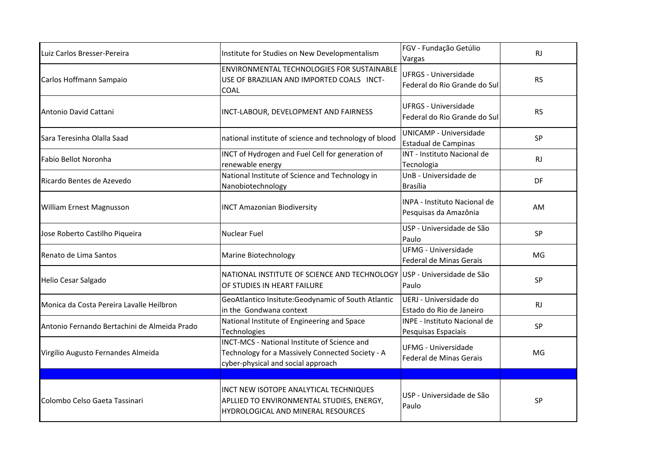| Luiz Carlos Bresser-Pereira                  | Institute for Studies on New Developmentalism                                                                                          | FGV - Fundação Getúlio<br>Vargas                             | <b>RJ</b> |
|----------------------------------------------|----------------------------------------------------------------------------------------------------------------------------------------|--------------------------------------------------------------|-----------|
| Carlos Hoffmann Sampaio                      | ENVIRONMENTAL TECHNOLOGIES FOR SUSTAINABLE<br>USE OF BRAZILIAN AND IMPORTED COALS INCT-<br>COAL                                        | <b>UFRGS - Universidade</b><br>Federal do Rio Grande do Sul  | <b>RS</b> |
| Antonio David Cattani                        | INCT-LABOUR, DEVELOPMENT AND FAIRNESS                                                                                                  | <b>UFRGS - Universidade</b><br>Federal do Rio Grande do Sul  | <b>RS</b> |
| Sara Teresinha Olalla Saad                   | national institute of science and technology of blood                                                                                  | <b>UNICAMP - Universidade</b><br>Estadual de Campinas        | SP        |
| Fabio Bellot Noronha                         | INCT of Hydrogen and Fuel Cell for generation of<br>renewable energy                                                                   | INT - Instituto Nacional de<br>Tecnologia                    | <b>RJ</b> |
| Ricardo Bentes de Azevedo                    | National Institute of Science and Technology in<br>Nanobiotechnology                                                                   | UnB - Universidade de<br>Brasília                            | <b>DF</b> |
| William Ernest Magnusson                     | <b>INCT Amazonian Biodiversity</b>                                                                                                     | <b>INPA - Instituto Nacional de</b><br>Pesquisas da Amazônia | AM        |
| Jose Roberto Castilho Piqueira               | <b>Nuclear Fuel</b>                                                                                                                    | USP - Universidade de São<br>Paulo                           | SP        |
| Renato de Lima Santos                        | <b>Marine Biotechnology</b>                                                                                                            | <b>UFMG - Universidade</b><br>Federal de Minas Gerais        | MG        |
| Helio Cesar Salgado                          | NATIONAL INSTITUTE OF SCIENCE AND TECHNOLOGY USP - Universidade de São<br>OF STUDIES IN HEART FAILURE                                  | Paulo                                                        | SP        |
| Monica da Costa Pereira Lavalle Heilbron     | GeoAtlantico Insitute: Geodynamic of South Atlantic<br>in the Gondwana context                                                         | UERJ - Universidade do<br>Estado do Rio de Janeiro           | <b>RJ</b> |
| Antonio Fernando Bertachini de Almeida Prado | National Institute of Engineering and Space<br>Technologies                                                                            | INPE - Instituto Nacional de<br>Pesquisas Espaciais          | SP        |
| Virgilio Augusto Fernandes Almeida           | INCT-MCS - National Institute of Science and<br>Technology for a Massively Connected Society - A<br>cyber-physical and social approach | UFMG - Universidade<br>Federal de Minas Gerais               | MG        |
|                                              |                                                                                                                                        |                                                              |           |
| Colombo Celso Gaeta Tassinari                | INCT NEW ISOTOPE ANALYTICAL TECHNIQUES<br>APLLIED TO ENVIRONMENTAL STUDIES, ENERGY,<br>HYDROLOGICAL AND MINERAL RESOURCES              | USP - Universidade de São<br>Paulo                           | SP        |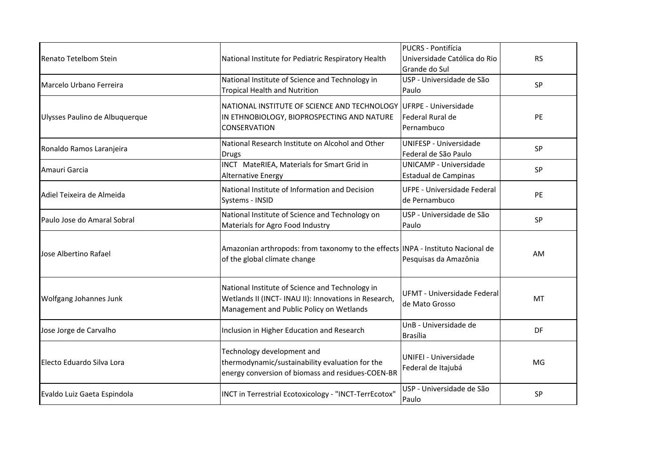| Renato Tetelbom Stein          | National Institute for Pediatric Respiratory Health                                                                                                  | PUCRS - Pontifícia<br>Universidade Católica do Rio<br>Grande do Sul | <b>RS</b> |
|--------------------------------|------------------------------------------------------------------------------------------------------------------------------------------------------|---------------------------------------------------------------------|-----------|
| Marcelo Urbano Ferreira        | National Institute of Science and Technology in<br><b>Tropical Health and Nutrition</b>                                                              | USP - Universidade de São<br>Paulo                                  | SP        |
| Ulysses Paulino de Albuquerque | NATIONAL INSTITUTE OF SCIENCE AND TECHNOLOGY UFRPE - Universidade<br>IN ETHNOBIOLOGY, BIOPROSPECTING AND NATURE<br><b>CONSERVATION</b>               | Federal Rural de<br>Pernambuco                                      | PE        |
| Ronaldo Ramos Laranjeira       | National Research Institute on Alcohol and Other<br><b>Drugs</b>                                                                                     | UNIFESP - Universidade<br>Federal de São Paulo                      | <b>SP</b> |
| Amauri Garcia                  | INCT MateRIEA, Materials for Smart Grid in<br><b>Alternative Energy</b>                                                                              | <b>UNICAMP - Universidade</b><br>Estadual de Campinas               | SP        |
| Adiel Teixeira de Almeida      | National Institute of Information and Decision<br>Systems - INSID                                                                                    | <b>UFPE - Universidade Federal</b><br>de Pernambuco                 | PE        |
| Paulo Jose do Amaral Sobral    | National Institute of Science and Technology on<br>Materials for Agro Food Industry                                                                  | USP - Universidade de São<br>Paulo                                  | SP        |
| Jose Albertino Rafael          | Amazonian arthropods: from taxonomy to the effects INPA - Instituto Nacional de<br>of the global climate change                                      | Pesquisas da Amazônia                                               | AM        |
| Wolfgang Johannes Junk         | National Institute of Science and Technology in<br>Wetlands II (INCT- INAU II): Innovations in Research,<br>Management and Public Policy on Wetlands | UFMT - Universidade Federal<br>de Mato Grosso                       | MT        |
| Jose Jorge de Carvalho         | Inclusion in Higher Education and Research                                                                                                           | UnB - Universidade de<br><b>Brasília</b>                            | DF        |
| Electo Eduardo Silva Lora      | Technology development and<br>thermodynamic/sustainability evaluation for the<br>energy conversion of biomass and residues-COEN-BR                   | <b>UNIFEI - Universidade</b><br>Federal de Itajubá                  | MG        |
| Evaldo Luiz Gaeta Espindola    | INCT in Terrestrial Ecotoxicology - "INCT-TerrEcotox"                                                                                                | USP - Universidade de São<br>Paulo                                  | <b>SP</b> |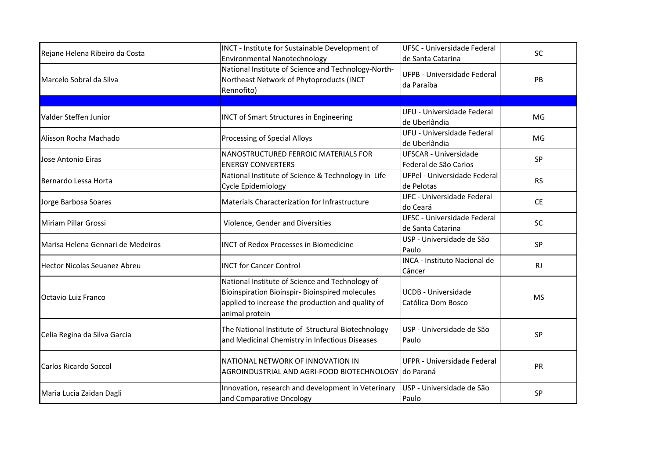| Rejane Helena Ribeiro da Costa      | INCT - Institute for Sustainable Development of<br><b>Environmental Nanotechnology</b>                                                                                    | UFSC - Universidade Federal<br>de Santa Catarina        | SC        |
|-------------------------------------|---------------------------------------------------------------------------------------------------------------------------------------------------------------------------|---------------------------------------------------------|-----------|
| Marcelo Sobral da Silva             | National Institute of Science and Technology-North-<br>Northeast Network of Phytoproducts (INCT<br>Rennofito)                                                             | UFPB - Universidade Federal<br>da Paraíba               | PB        |
|                                     |                                                                                                                                                                           |                                                         |           |
| Valder Steffen Junior               | <b>INCT of Smart Structures in Engineering</b>                                                                                                                            | UFU - Universidade Federal<br>de Uberlândia             | MG        |
| Alisson Rocha Machado               | Processing of Special Alloys                                                                                                                                              | UFU - Universidade Federal<br>de Uberlândia             | MG        |
| Jose Antonio Eiras                  | NANOSTRUCTURED FERROIC MATERIALS FOR<br><b>ENERGY CONVERTERS</b>                                                                                                          | <b>UFSCAR - Universidade</b><br>Federal de São Carlos   | SP        |
| Bernardo Lessa Horta                | National Institute of Science & Technology in Life<br>Cycle Epidemiology                                                                                                  | UFPel - Universidade Federal<br>de Pelotas              | <b>RS</b> |
| Jorge Barbosa Soares                | Materials Characterization for Infrastructure                                                                                                                             | UFC - Universidade Federal<br>do Ceará                  | <b>CE</b> |
| Miriam Pillar Grossi                | Violence, Gender and Diversities                                                                                                                                          | <b>UFSC - Universidade Federal</b><br>de Santa Catarina | SC        |
| Marisa Helena Gennari de Medeiros   | <b>INCT of Redox Processes in Biomedicine</b>                                                                                                                             | USP - Universidade de São<br>Paulo                      | SP        |
| <b>Hector Nicolas Seuanez Abreu</b> | <b>INCT for Cancer Control</b>                                                                                                                                            | INCA - Instituto Nacional de<br>Câncer                  | <b>RJ</b> |
| <b>Octavio Luiz Franco</b>          | National Institute of Science and Technology of<br>Bioinspiration Bioinspir- Bioinspired molecules<br>applied to increase the production and quality of<br>animal protein | <b>UCDB - Universidade</b><br>Católica Dom Bosco        | <b>MS</b> |
| Celia Regina da Silva Garcia        | The National Institute of Structural Biotechnology<br>and Medicinal Chemistry in Infectious Diseases                                                                      | USP - Universidade de São<br>Paulo                      | <b>SP</b> |
| <b>Carlos Ricardo Soccol</b>        | NATIONAL NETWORK OF INNOVATION IN<br>AGROINDUSTRIAL AND AGRI-FOOD BIOTECHNOLOGY do Paraná                                                                                 | UFPR - Universidade Federal                             | PR        |
| Maria Lucia Zaidan Dagli            | Innovation, research and development in Veterinary<br>and Comparative Oncology                                                                                            | USP - Universidade de São<br>Paulo                      | SP        |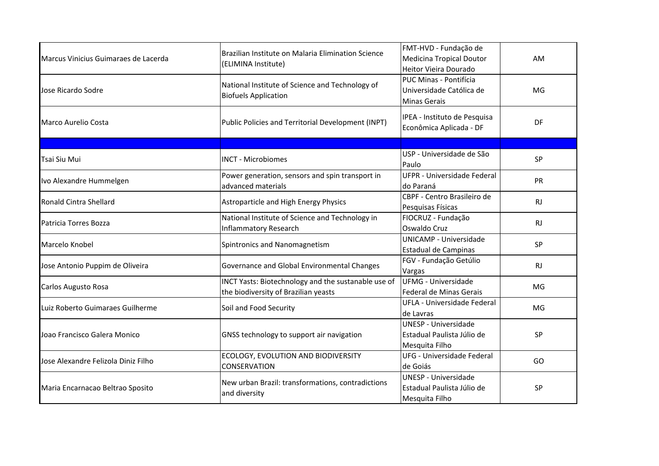| Marcus Vinicius Guimaraes de Lacerda | Brazilian Institute on Malaria Elimination Science<br>(ELIMINA Institute)                   | FMT-HVD - Fundação de<br><b>Medicina Tropical Doutor</b><br>Heitor Vieira Dourado | AM        |
|--------------------------------------|---------------------------------------------------------------------------------------------|-----------------------------------------------------------------------------------|-----------|
| Jose Ricardo Sodre                   | National Institute of Science and Technology of<br><b>Biofuels Application</b>              | PUC Minas - Pontifícia<br>Universidade Católica de<br><b>Minas Gerais</b>         | MG        |
| Marco Aurelio Costa                  | Public Policies and Territorial Development (INPT)                                          | IPEA - Instituto de Pesquisa<br>Econômica Aplicada - DF                           | DF        |
|                                      |                                                                                             |                                                                                   |           |
| Tsai Siu Mui                         | <b>INCT - Microbiomes</b>                                                                   | USP - Universidade de São<br>Paulo                                                | SP        |
| Ivo Alexandre Hummelgen              | Power generation, sensors and spin transport in<br>advanced materials                       | <b>UFPR - Universidade Federal</b><br>do Paraná                                   | PR        |
| Ronald Cintra Shellard               | Astroparticle and High Energy Physics                                                       | CBPF - Centro Brasileiro de<br>Pesquisas Físicas                                  | <b>RJ</b> |
| Patricia Torres Bozza                | National Institute of Science and Technology in<br><b>Inflammatory Research</b>             | FIOCRUZ - Fundação<br>Oswaldo Cruz                                                | <b>RJ</b> |
| Marcelo Knobel                       | Spintronics and Nanomagnetism                                                               | <b>UNICAMP - Universidade</b><br><b>Estadual de Campinas</b>                      | SP        |
| Jose Antonio Puppim de Oliveira      | Governance and Global Environmental Changes                                                 | FGV - Fundação Getúlio<br>Vargas                                                  | <b>RJ</b> |
| Carlos Augusto Rosa                  | INCT Yasts: Biotechnology and the sustanable use of<br>the biodiversity of Brazilian yeasts | <b>UFMG - Universidade</b><br>Federal de Minas Gerais                             | MG        |
| Luiz Roberto Guimaraes Guilherme     | Soil and Food Security                                                                      | UFLA - Universidade Federal<br>de Lavras                                          | MG        |
| Joao Francisco Galera Monico         | GNSS technology to support air navigation                                                   | <b>UNESP - Universidade</b><br>Estadual Paulista Júlio de<br>Mesquita Filho       | <b>SP</b> |
| Jose Alexandre Felizola Diniz Filho  | ECOLOGY, EVOLUTION AND BIODIVERSITY<br>CONSERVATION                                         | <b>UFG - Universidade Federal</b><br>de Goiás                                     | GO        |
| Maria Encarnacao Beltrao Sposito     | New urban Brazil: transformations, contradictions<br>and diversity                          | <b>UNESP - Universidade</b><br>Estadual Paulista Júlio de<br>Mesquita Filho       | SP        |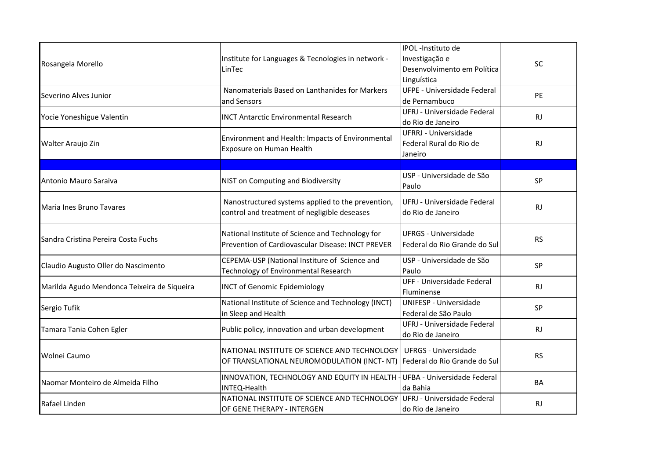| Rosangela Morello                           | Institute for Languages & Tecnologies in network -<br>LinTec                                                            | IPOL -Instituto de<br>Investigação e<br>Desenvolvimento em Política<br>Linguística | <b>SC</b> |
|---------------------------------------------|-------------------------------------------------------------------------------------------------------------------------|------------------------------------------------------------------------------------|-----------|
| Severino Alves Junior                       | Nanomaterials Based on Lanthanides for Markers<br>and Sensors                                                           | <b>UFPE - Universidade Federal</b><br>de Pernambuco                                | PE        |
| Yocie Yoneshigue Valentin                   | <b>INCT Antarctic Environmental Research</b>                                                                            | UFRJ - Universidade Federal<br>do Rio de Janeiro                                   | <b>RJ</b> |
| Walter Araujo Zin                           | Environment and Health: Impacts of Environmental<br>Exposure on Human Health                                            | <b>UFRRJ - Universidade</b><br>Federal Rural do Rio de<br>Janeiro                  | <b>RJ</b> |
|                                             |                                                                                                                         |                                                                                    |           |
| Antonio Mauro Saraiva                       | NIST on Computing and Biodiversity                                                                                      | USP - Universidade de São<br>Paulo                                                 | SP        |
| Maria Ines Bruno Tavares                    | Nanostructured systems applied to the prevention,<br>control and treatment of negligible deseases                       | UFRJ - Universidade Federal<br>do Rio de Janeiro                                   | <b>RJ</b> |
| Sandra Cristina Pereira Costa Fuchs         | National Institute of Science and Technology for<br>Prevention of Cardiovascular Disease: INCT PREVER                   | <b>UFRGS - Universidade</b><br>Federal do Rio Grande do Sul                        | <b>RS</b> |
| Claudio Augusto Oller do Nascimento         | CEPEMA-USP (National Institure of Science and<br>Technology of Environmental Research                                   | USP - Universidade de São<br>Paulo                                                 | SP        |
| Marilda Agudo Mendonca Teixeira de Siqueira | <b>INCT of Genomic Epidemiology</b>                                                                                     | <b>UFF - Universidade Federal</b><br>Fluminense                                    | <b>RJ</b> |
| Sergio Tufik                                | National Institute of Science and Technology (INCT)<br>in Sleep and Health                                              | <b>UNIFESP - Universidade</b><br>Federal de São Paulo                              | <b>SP</b> |
| Tamara Tania Cohen Egler                    | Public policy, innovation and urban development                                                                         | UFRJ - Universidade Federal<br>do Rio de Janeiro                                   | <b>RJ</b> |
| Wolnei Caumo                                | NATIONAL INSTITUTE OF SCIENCE AND TECHNOLOGY<br>OF TRANSLATIONAL NEUROMODULATION (INCT-NT) Federal do Rio Grande do Sul | <b>UFRGS - Universidade</b>                                                        | <b>RS</b> |
| Naomar Monteiro de Almeida Filho            | INNOVATION, TECHNOLOGY AND EQUITY IN HEALTH - UFBA - Universidade Federal<br>INTEQ-Health                               | da Bahia                                                                           | BA        |
| Rafael Linden                               | NATIONAL INSTITUTE OF SCIENCE AND TECHNOLOGY<br>OF GENE THERAPY - INTERGEN                                              | UFRJ - Universidade Federal<br>do Rio de Janeiro                                   | <b>RJ</b> |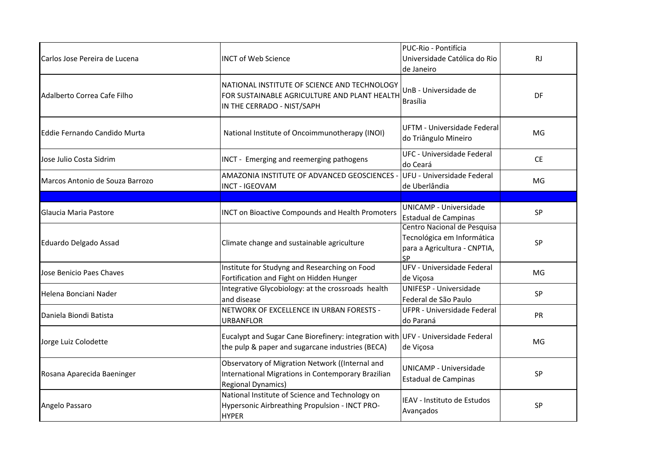| Carlos Jose Pereira de Lucena   | <b>INCT of Web Science</b>                                                                                                           | PUC-Rio - Pontifícia<br>Universidade Católica do Rio<br>de Janeiro                                     | <b>RJ</b> |
|---------------------------------|--------------------------------------------------------------------------------------------------------------------------------------|--------------------------------------------------------------------------------------------------------|-----------|
| Adalberto Correa Cafe Filho     | NATIONAL INSTITUTE OF SCIENCE AND TECHNOLOGY<br>FOR SUSTAINABLE AGRICULTURE AND PLANT HEALTH<br>IN THE CERRADO - NIST/SAPH           | UnB - Universidade de<br><b>Brasília</b>                                                               | DF        |
| Eddie Fernando Candido Murta    | National Institute of Oncoimmunotherapy (INOI)                                                                                       | UFTM - Universidade Federal<br>do Triângulo Mineiro                                                    | MG        |
| Jose Julio Costa Sidrim         | INCT - Emerging and reemerging pathogens                                                                                             | <b>UFC - Universidade Federal</b><br>do Ceará                                                          | <b>CE</b> |
| Marcos Antonio de Souza Barrozo | AMAZONIA INSTITUTE OF ADVANCED GEOSCIENCES -<br><b>INCT - IGEOVAM</b>                                                                | UFU - Universidade Federal<br>de Uberlândia                                                            | MG        |
|                                 |                                                                                                                                      |                                                                                                        |           |
| Glaucia Maria Pastore           | <b>INCT on Bioactive Compounds and Health Promoters</b>                                                                              | <b>UNICAMP - Universidade</b><br><b>Estadual de Campinas</b>                                           | SP        |
| Eduardo Delgado Assad           | Climate change and sustainable agriculture                                                                                           | Centro Nacional de Pesquisa<br>Tecnológica em Informática<br>para a Agricultura - CNPTIA,<br><b>SP</b> | SP        |
| Jose Benicio Paes Chaves        | Institute for Studyng and Researching on Food<br>Fortification and Fight on Hidden Hunger                                            | UFV - Universidade Federal<br>de Viçosa                                                                | MG        |
| Helena Bonciani Nader           | Integrative Glycobiology: at the crossroads health<br>and disease                                                                    | UNIFESP - Universidade<br>Federal de São Paulo                                                         | SP        |
| Daniela Biondi Batista          | NETWORK OF EXCELLENCE IN URBAN FORESTS -<br><b>URBANFLOR</b>                                                                         | <b>UFPR - Universidade Federal</b><br>do Paraná                                                        | PR        |
| Jorge Luiz Colodette            | Eucalypt and Sugar Cane Biorefinery: integration with UFV - Universidade Federal<br>the pulp & paper and sugarcane industries (BECA) | de Viçosa                                                                                              | MG        |
| Rosana Aparecida Baeninger      | Observatory of Migration Network ((Internal and<br>International Migrations in Contemporary Brazilian<br><b>Regional Dynamics)</b>   | <b>UNICAMP - Universidade</b><br>Estadual de Campinas                                                  | SP        |
| Angelo Passaro                  | National Institute of Science and Technology on<br>Hypersonic Airbreathing Propulsion - INCT PRO-<br><b>HYPER</b>                    | IEAV - Instituto de Estudos<br>Avançados                                                               | SP        |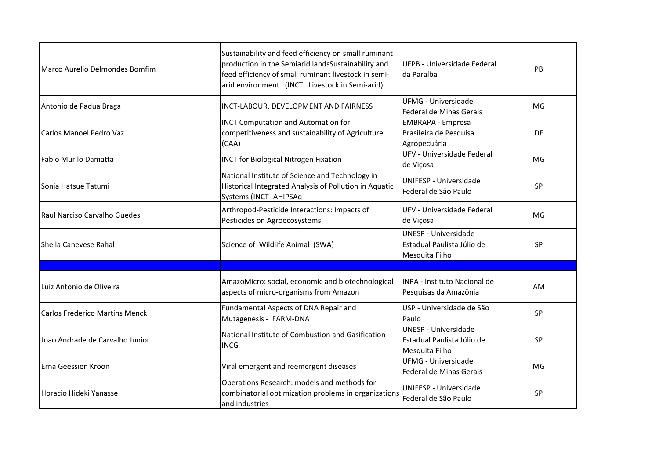| Marco Aurelio Delmondes Bomfim        | Sustainability and feed efficiency on small ruminant<br>production in the Semiarid landsSustainability and<br>feed efficiency of small ruminant livestock in semi-<br>arid environment (INCT Livestock in Semi-arid) | UFPB - Universidade Federal<br>da Paraíba                                   | PB        |
|---------------------------------------|----------------------------------------------------------------------------------------------------------------------------------------------------------------------------------------------------------------------|-----------------------------------------------------------------------------|-----------|
| Antonio de Padua Braga                | INCT-LABOUR, DEVELOPMENT AND FAIRNESS                                                                                                                                                                                | <b>UFMG - Universidade</b><br>Federal de Minas Gerais                       | MG        |
| Carlos Manoel Pedro Vaz               | <b>INCT Computation and Automation for</b><br>competitiveness and sustainability of Agriculture<br>(CAA)                                                                                                             | <b>EMBRAPA - Empresa</b><br>Brasileira de Pesquisa<br>Agropecuária          | DF        |
| Fabio Murilo Damatta                  | <b>INCT for Biological Nitrogen Fixation</b>                                                                                                                                                                         | UFV - Universidade Federal<br>de Viçosa                                     | MG        |
| Sonia Hatsue Tatumi                   | National Institute of Science and Technology in<br>Historical Integrated Analysis of Pollution in Aquatic<br>Systems (INCT- AHIPSAq                                                                                  | UNIFESP - Universidade<br>Federal de São Paulo                              | <b>SP</b> |
| Raul Narciso Carvalho Guedes          | Arthropod-Pesticide Interactions: Impacts of<br>Pesticides on Agroecosystems                                                                                                                                         | UFV - Universidade Federal<br>de Viçosa                                     | MG        |
| Sheila Canevese Rahal                 | Science of Wildlife Animal (SWA)                                                                                                                                                                                     | <b>UNESP - Universidade</b><br>Estadual Paulista Júlio de<br>Mesquita Filho | <b>SP</b> |
|                                       |                                                                                                                                                                                                                      |                                                                             |           |
| Luiz Antonio de Oliveira              | AmazoMicro: social, economic and biotechnological<br>aspects of micro-organisms from Amazon                                                                                                                          | INPA - Instituto Nacional de<br>Pesquisas da Amazônia                       | AM        |
| <b>Carlos Frederico Martins Menck</b> | Fundamental Aspects of DNA Repair and<br>Mutagenesis - FARM-DNA                                                                                                                                                      | USP - Universidade de São<br>Paulo                                          | SP        |
| Joao Andrade de Carvalho Junior       | National Institute of Combustion and Gasification -<br><b>INCG</b>                                                                                                                                                   | UNESP - Universidade<br>Estadual Paulista Júlio de<br>Mesquita Filho        | <b>SP</b> |
| Erna Geessien Kroon                   | Viral emergent and reemergent diseases                                                                                                                                                                               | <b>UFMG - Universidade</b><br>Federal de Minas Gerais                       | MG        |
| Horacio Hideki Yanasse                | Operations Research: models and methods for<br>combinatorial optimization problems in organizations<br>and industries                                                                                                | UNIFESP - Universidade<br>Federal de São Paulo                              | <b>SP</b> |